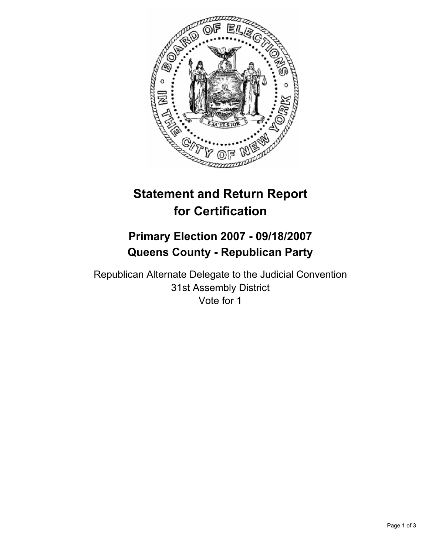

# **Statement and Return Report for Certification**

## **Primary Election 2007 - 09/18/2007 Queens County - Republican Party**

Republican Alternate Delegate to the Judicial Convention 31st Assembly District Vote for 1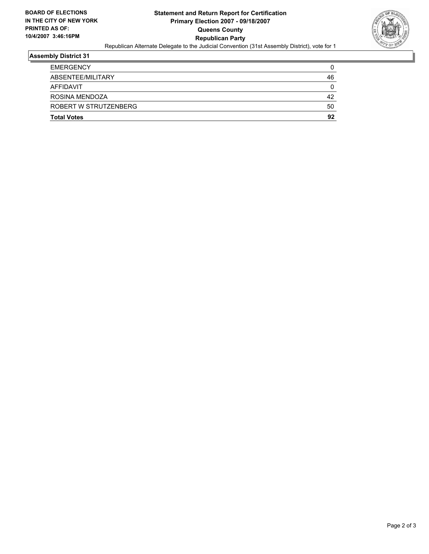

## **Assembly District 31**

| <b>EMERGENCY</b>      |    |
|-----------------------|----|
| ABSENTEE/MILITARY     | 46 |
| <b>AFFIDAVIT</b>      |    |
| ROSINA MENDOZA        | 42 |
| ROBERT W STRUTZENBERG | 50 |
| <b>Total Votes</b>    | 92 |